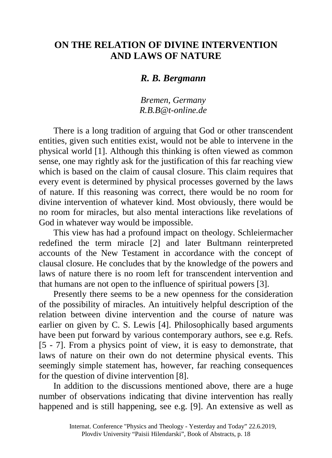## **ON THE RELATION OF DIVINE INTERVENTION AND LAWS OF NATURE**

## *R. B. Bergmann*

## *Bremen, Germany R.B.B@t-online.de*

There is a long tradition of arguing that God or other transcendent entities, given such entities exist, would not be able to intervene in the physical world [1]. Although this thinking is often viewed as common sense, one may rightly ask for the justification of this far reaching view which is based on the claim of causal closure. This claim requires that every event is determined by physical processes governed by the laws of nature. If this reasoning was correct, there would be no room for divine intervention of whatever kind. Most obviously, there would be no room for miracles, but also mental interactions like revelations of God in whatever way would be impossible.

This view has had a profound impact on theology. Schleiermacher redefined the term miracle [2] and later Bultmann reinterpreted accounts of the New Testament in accordance with the concept of clausal closure. He concludes that by the knowledge of the powers and laws of nature there is no room left for transcendent intervention and that humans are not open to the influence of spiritual powers [3].

Presently there seems to be a new openness for the consideration of the possibility of miracles. An intuitively helpful description of the relation between divine intervention and the course of nature was earlier on given by C. S. Lewis [4]. Philosophically based arguments have been put forward by various contemporary authors, see e.g. Refs. [5 - 7]. From a physics point of view, it is easy to demonstrate, that laws of nature on their own do not determine physical events. This seemingly simple statement has, however, far reaching consequences for the question of divine intervention [8].

In addition to the discussions mentioned above, there are a huge number of observations indicating that divine intervention has really happened and is still happening, see e.g. [9]. An extensive as well as